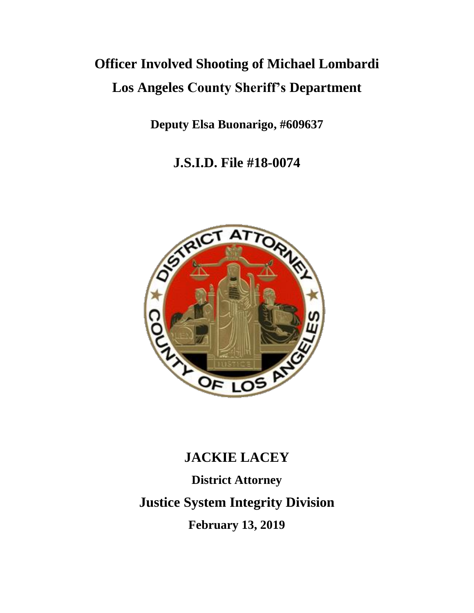# **Officer Involved Shooting of Michael Lombardi Los Angeles County Sheriff's Department**

**Deputy Elsa Buonarigo, #609637**

**J.S.I.D. File #18-0074**



# **JACKIE LACEY**

**District Attorney Justice System Integrity Division February 13, 2019**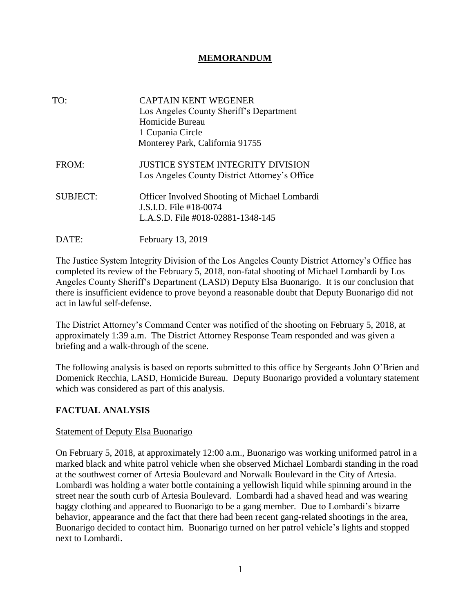## **MEMORANDUM**

| TO:             | <b>CAPTAIN KENT WEGENER</b><br>Los Angeles County Sheriff's Department<br>Homicide Bureau<br>1 Cupania Circle<br>Monterey Park, California 91755 |
|-----------------|--------------------------------------------------------------------------------------------------------------------------------------------------|
| FROM:           | <b>JUSTICE SYSTEM INTEGRITY DIVISION</b><br>Los Angeles County District Attorney's Office                                                        |
| <b>SUBJECT:</b> | <b>Officer Involved Shooting of Michael Lombardi</b><br>J.S.I.D. File #18-0074<br>L.A.S.D. File #018-02881-1348-145                              |
| DATE:           | February 13, 2019                                                                                                                                |

The Justice System Integrity Division of the Los Angeles County District Attorney's Office has completed its review of the February 5, 2018, non-fatal shooting of Michael Lombardi by Los Angeles County Sheriff's Department (LASD) Deputy Elsa Buonarigo. It is our conclusion that there is insufficient evidence to prove beyond a reasonable doubt that Deputy Buonarigo did not act in lawful self-defense.

The District Attorney's Command Center was notified of the shooting on February 5, 2018, at approximately 1:39 a.m. The District Attorney Response Team responded and was given a briefing and a walk-through of the scene.

The following analysis is based on reports submitted to this office by Sergeants John O'Brien and Domenick Recchia, LASD, Homicide Bureau. Deputy Buonarigo provided a voluntary statement which was considered as part of this analysis.

### **FACTUAL ANALYSIS**

#### Statement of Deputy Elsa Buonarigo

On February 5, 2018, at approximately 12:00 a.m., Buonarigo was working uniformed patrol in a marked black and white patrol vehicle when she observed Michael Lombardi standing in the road at the southwest corner of Artesia Boulevard and Norwalk Boulevard in the City of Artesia. Lombardi was holding a water bottle containing a yellowish liquid while spinning around in the street near the south curb of Artesia Boulevard. Lombardi had a shaved head and was wearing baggy clothing and appeared to Buonarigo to be a gang member. Due to Lombardi's bizarre behavior, appearance and the fact that there had been recent gang-related shootings in the area, Buonarigo decided to contact him. Buonarigo turned on her patrol vehicle's lights and stopped next to Lombardi.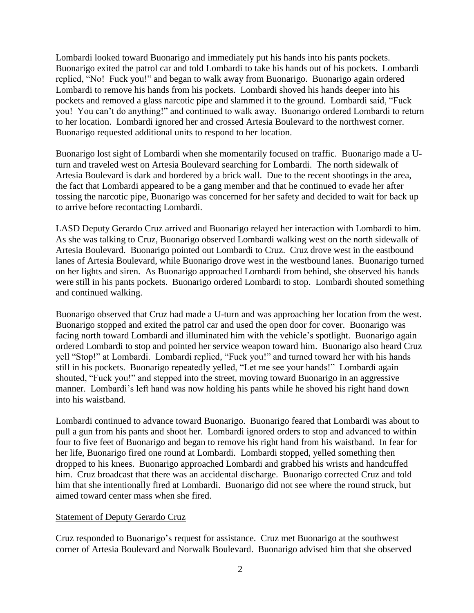Lombardi looked toward Buonarigo and immediately put his hands into his pants pockets. Buonarigo exited the patrol car and told Lombardi to take his hands out of his pockets. Lombardi replied, "No! Fuck you!" and began to walk away from Buonarigo. Buonarigo again ordered Lombardi to remove his hands from his pockets. Lombardi shoved his hands deeper into his pockets and removed a glass narcotic pipe and slammed it to the ground. Lombardi said, "Fuck you! You can't do anything!" and continued to walk away. Buonarigo ordered Lombardi to return to her location. Lombardi ignored her and crossed Artesia Boulevard to the northwest corner. Buonarigo requested additional units to respond to her location.

Buonarigo lost sight of Lombardi when she momentarily focused on traffic. Buonarigo made a Uturn and traveled west on Artesia Boulevard searching for Lombardi. The north sidewalk of Artesia Boulevard is dark and bordered by a brick wall. Due to the recent shootings in the area, the fact that Lombardi appeared to be a gang member and that he continued to evade her after tossing the narcotic pipe, Buonarigo was concerned for her safety and decided to wait for back up to arrive before recontacting Lombardi.

LASD Deputy Gerardo Cruz arrived and Buonarigo relayed her interaction with Lombardi to him. As she was talking to Cruz, Buonarigo observed Lombardi walking west on the north sidewalk of Artesia Boulevard. Buonarigo pointed out Lombardi to Cruz. Cruz drove west in the eastbound lanes of Artesia Boulevard, while Buonarigo drove west in the westbound lanes. Buonarigo turned on her lights and siren. As Buonarigo approached Lombardi from behind, she observed his hands were still in his pants pockets. Buonarigo ordered Lombardi to stop. Lombardi shouted something and continued walking.

Buonarigo observed that Cruz had made a U-turn and was approaching her location from the west. Buonarigo stopped and exited the patrol car and used the open door for cover. Buonarigo was facing north toward Lombardi and illuminated him with the vehicle's spotlight. Buonarigo again ordered Lombardi to stop and pointed her service weapon toward him. Buonarigo also heard Cruz yell "Stop!" at Lombardi. Lombardi replied, "Fuck you!" and turned toward her with his hands still in his pockets. Buonarigo repeatedly yelled, "Let me see your hands!" Lombardi again shouted, "Fuck you!" and stepped into the street, moving toward Buonarigo in an aggressive manner. Lombardi's left hand was now holding his pants while he shoved his right hand down into his waistband.

Lombardi continued to advance toward Buonarigo. Buonarigo feared that Lombardi was about to pull a gun from his pants and shoot her. Lombardi ignored orders to stop and advanced to within four to five feet of Buonarigo and began to remove his right hand from his waistband. In fear for her life, Buonarigo fired one round at Lombardi. Lombardi stopped, yelled something then dropped to his knees. Buonarigo approached Lombardi and grabbed his wrists and handcuffed him. Cruz broadcast that there was an accidental discharge. Buonarigo corrected Cruz and told him that she intentionally fired at Lombardi. Buonarigo did not see where the round struck, but aimed toward center mass when she fired.

#### Statement of Deputy Gerardo Cruz

Cruz responded to Buonarigo's request for assistance. Cruz met Buonarigo at the southwest corner of Artesia Boulevard and Norwalk Boulevard. Buonarigo advised him that she observed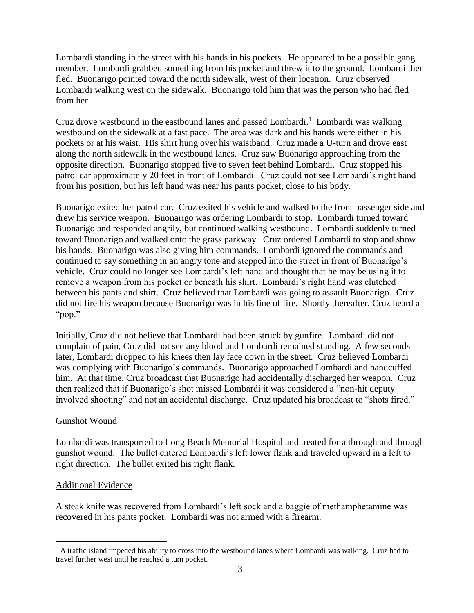Lombardi standing in the street with his hands in his pockets. He appeared to be a possible gang member. Lombardi grabbed something from his pocket and threw it to the ground. Lombardi then fled. Buonarigo pointed toward the north sidewalk, west of their location. Cruz observed Lombardi walking west on the sidewalk. Buonarigo told him that was the person who had fled from her.

Cruz drove westbound in the eastbound lanes and passed Lombardi.<sup>1</sup> Lombardi was walking westbound on the sidewalk at a fast pace. The area was dark and his hands were either in his pockets or at his waist. His shirt hung over his waistband. Cruz made a U-turn and drove east along the north sidewalk in the westbound lanes. Cruz saw Buonarigo approaching from the opposite direction. Buonarigo stopped five to seven feet behind Lombardi. Cruz stopped his patrol car approximately 20 feet in front of Lombardi. Cruz could not see Lombardi's right hand from his position, but his left hand was near his pants pocket, close to his body.

Buonarigo exited her patrol car. Cruz exited his vehicle and walked to the front passenger side and drew his service weapon. Buonarigo was ordering Lombardi to stop. Lombardi turned toward Buonarigo and responded angrily, but continued walking westbound. Lombardi suddenly turned toward Buonarigo and walked onto the grass parkway. Cruz ordered Lombardi to stop and show his hands. Buonarigo was also giving him commands. Lombardi ignored the commands and continued to say something in an angry tone and stepped into the street in front of Buonarigo's vehicle. Cruz could no longer see Lombardi's left hand and thought that he may be using it to remove a weapon from his pocket or beneath his shirt. Lombardi's right hand was clutched between his pants and shirt. Cruz believed that Lombardi was going to assault Buonarigo. Cruz did not fire his weapon because Buonarigo was in his line of fire. Shortly thereafter, Cruz heard a "pop."

Initially, Cruz did not believe that Lombardi had been struck by gunfire. Lombardi did not complain of pain, Cruz did not see any blood and Lombardi remained standing. A few seconds later, Lombardi dropped to his knees then lay face down in the street. Cruz believed Lombardi was complying with Buonarigo's commands. Buonarigo approached Lombardi and handcuffed him. At that time, Cruz broadcast that Buonarigo had accidentally discharged her weapon. Cruz then realized that if Buonarigo's shot missed Lombardi it was considered a "non-hit deputy involved shooting" and not an accidental discharge. Cruz updated his broadcast to "shots fired."

#### Gunshot Wound

Lombardi was transported to Long Beach Memorial Hospital and treated for a through and through gunshot wound. The bullet entered Lombardi's left lower flank and traveled upward in a left to right direction. The bullet exited his right flank.

#### Additional Evidence

 $\overline{a}$ 

A steak knife was recovered from Lombardi's left sock and a baggie of methamphetamine was recovered in his pants pocket. Lombardi was not armed with a firearm.

 $1$  A traffic island impeded his ability to cross into the westbound lanes where Lombardi was walking. Cruz had to travel further west until he reached a turn pocket.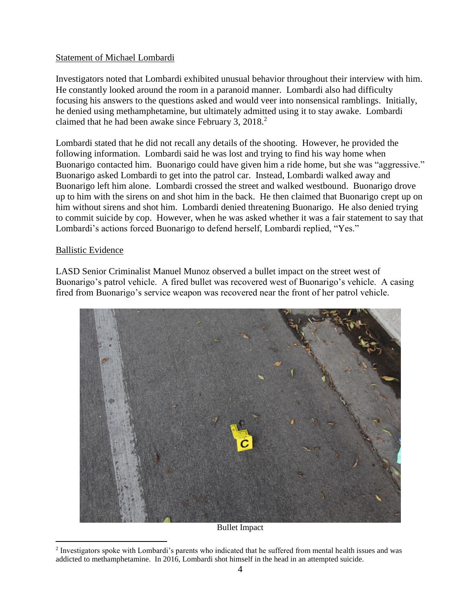#### Statement of Michael Lombardi

Investigators noted that Lombardi exhibited unusual behavior throughout their interview with him. He constantly looked around the room in a paranoid manner. Lombardi also had difficulty focusing his answers to the questions asked and would veer into nonsensical ramblings. Initially, he denied using methamphetamine, but ultimately admitted using it to stay awake. Lombardi claimed that he had been awake since February 3, 2018.<sup>2</sup>

Lombardi stated that he did not recall any details of the shooting. However, he provided the following information. Lombardi said he was lost and trying to find his way home when Buonarigo contacted him. Buonarigo could have given him a ride home, but she was "aggressive." Buonarigo asked Lombardi to get into the patrol car. Instead, Lombardi walked away and Buonarigo left him alone. Lombardi crossed the street and walked westbound. Buonarigo drove up to him with the sirens on and shot him in the back. He then claimed that Buonarigo crept up on him without sirens and shot him. Lombardi denied threatening Buonarigo. He also denied trying to commit suicide by cop. However, when he was asked whether it was a fair statement to say that Lombardi's actions forced Buonarigo to defend herself, Lombardi replied, "Yes."

#### Ballistic Evidence

 $\overline{a}$ 

LASD Senior Criminalist Manuel Munoz observed a bullet impact on the street west of Buonarigo's patrol vehicle. A fired bullet was recovered west of Buonarigo's vehicle. A casing fired from Buonarigo's service weapon was recovered near the front of her patrol vehicle.



Bullet Impact

<sup>&</sup>lt;sup>2</sup> Investigators spoke with Lombardi's parents who indicated that he suffered from mental health issues and was addicted to methamphetamine. In 2016, Lombardi shot himself in the head in an attempted suicide.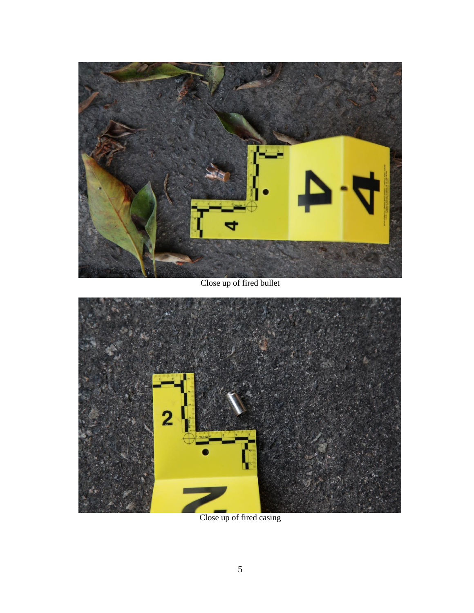

Close up of fired bullet



Close up of fired casing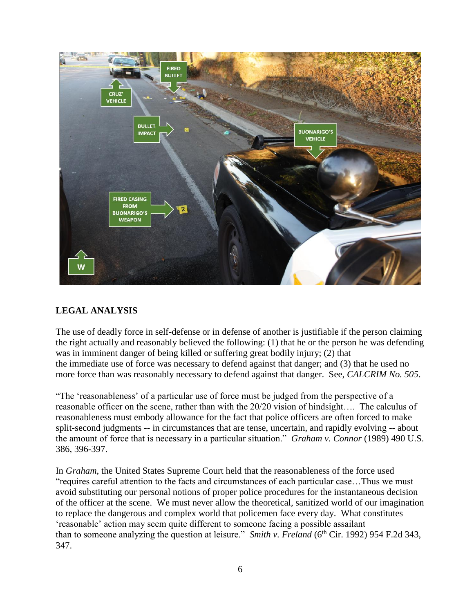

# **LEGAL ANALYSIS**

The use of deadly force in self-defense or in defense of another is justifiable if the person claiming the right actually and reasonably believed the following: (1) that he or the person he was defending was in imminent danger of being killed or suffering great bodily injury; (2) that the immediate use of force was necessary to defend against that danger; and (3) that he used no more force than was reasonably necessary to defend against that danger. See, *CALCRIM No. 505*.

"The 'reasonableness' of a particular use of force must be judged from the perspective of a reasonable officer on the scene, rather than with the 20/20 vision of hindsight…. The calculus of reasonableness must embody allowance for the fact that police officers are often forced to make split-second judgments -- in circumstances that are tense, uncertain, and rapidly evolving -- about the amount of force that is necessary in a particular situation." *Graham v. Connor* (1989) 490 U.S. 386, 396-397.

In *Graham*, the United States Supreme Court held that the reasonableness of the force used "requires careful attention to the facts and circumstances of each particular case…Thus we must avoid substituting our personal notions of proper police procedures for the instantaneous decision of the officer at the scene. We must never allow the theoretical, sanitized world of our imagination to replace the dangerous and complex world that policemen face every day. What constitutes 'reasonable' action may seem quite different to someone facing a possible assailant than to someone analyzing the question at leisure." *Smith v. Freland* (6<sup>th</sup> Cir. 1992) 954 F.2d 343, 347.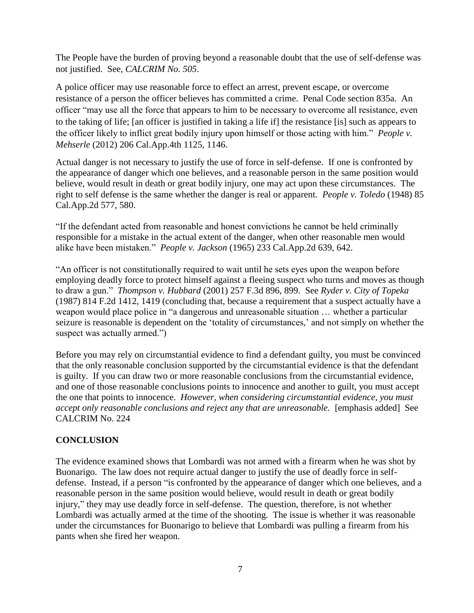The People have the burden of proving beyond a reasonable doubt that the use of self-defense was not justified. See, *CALCRIM No. 505*.

A police officer may use reasonable force to effect an arrest, prevent escape, or overcome resistance of a person the officer believes has committed a crime. Penal Code section 835a. An officer "may use all the force that appears to him to be necessary to overcome all resistance, even to the taking of life; [an officer is justified in taking a life if] the resistance [is] such as appears to the officer likely to inflict great bodily injury upon himself or those acting with him." *People v. Mehserle* (2012) 206 Cal.App.4th 1125, 1146.

Actual danger is not necessary to justify the use of force in self-defense. If one is confronted by the appearance of danger which one believes, and a reasonable person in the same position would believe, would result in death or great bodily injury, one may act upon these circumstances. The right to self defense is the same whether the danger is real or apparent. *People v. Toledo* (1948) 85 Cal.App.2d 577, 580.

"If the defendant acted from reasonable and honest convictions he cannot be held criminally responsible for a mistake in the actual extent of the danger, when other reasonable men would alike have been mistaken." *People v. Jackson* (1965) 233 Cal.App.2d 639, 642.

"An officer is not constitutionally required to wait until he sets eyes upon the weapon before employing deadly force to protect himself against a fleeing suspect who turns and moves as though to draw a gun." *Thompson v. Hubbard* (2001) 257 F.3d 896, 899. See *Ryder v. City of Topeka*  (1987) 814 F.2d 1412, 1419 (concluding that, because a requirement that a suspect actually have a weapon would place police in "a dangerous and unreasonable situation … whether a particular seizure is reasonable is dependent on the 'totality of circumstances,' and not simply on whether the suspect was actually armed.")

Before you may rely on circumstantial evidence to find a defendant guilty, you must be convinced that the only reasonable conclusion supported by the circumstantial evidence is that the defendant is guilty. If you can draw two or more reasonable conclusions from the circumstantial evidence, and one of those reasonable conclusions points to innocence and another to guilt, you must accept the one that points to innocence. *However, when considering circumstantial evidence, you must accept only reasonable conclusions and reject any that are unreasonable.* [emphasis added] See CALCRIM No. 224

# **CONCLUSION**

The evidence examined shows that Lombardi was not armed with a firearm when he was shot by Buonarigo. The law does not require actual danger to justify the use of deadly force in selfdefense. Instead, if a person "is confronted by the appearance of danger which one believes, and a reasonable person in the same position would believe, would result in death or great bodily injury," they may use deadly force in self-defense. The question, therefore, is not whether Lombardi was actually armed at the time of the shooting. The issue is whether it was reasonable under the circumstances for Buonarigo to believe that Lombardi was pulling a firearm from his pants when she fired her weapon.